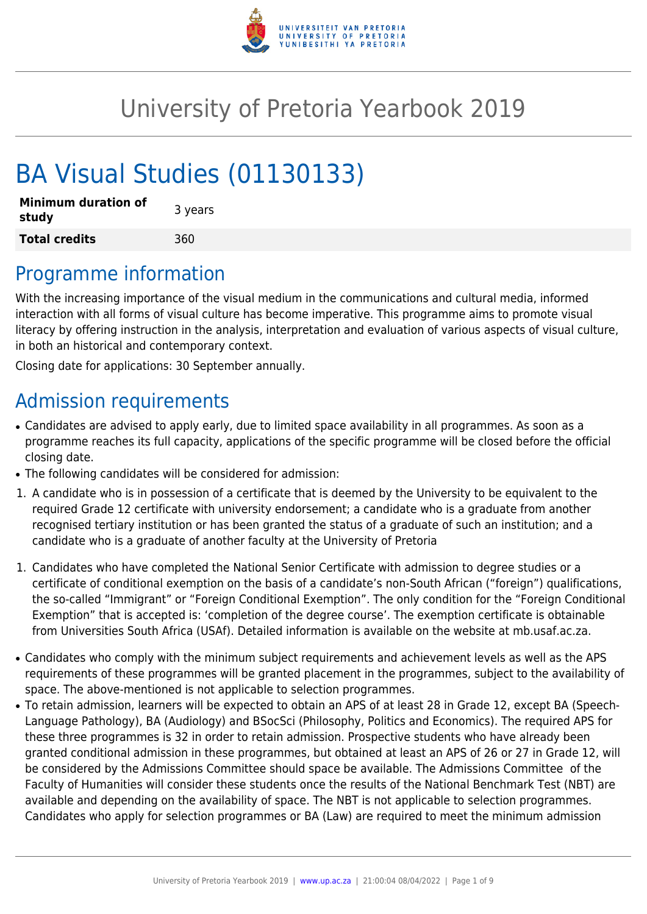

# University of Pretoria Yearbook 2019

# BA Visual Studies (01130133)

| <b>Minimum duration of</b><br>study | 3 years |
|-------------------------------------|---------|
| <b>Total credits</b>                | 360     |

# Programme information

With the increasing importance of the visual medium in the communications and cultural media, informed interaction with all forms of visual culture has become imperative. This programme aims to promote visual literacy by offering instruction in the analysis, interpretation and evaluation of various aspects of visual culture, in both an historical and contemporary context.

Closing date for applications: 30 September annually.

# Admission requirements

- Candidates are advised to apply early, due to limited space availability in all programmes. As soon as a programme reaches its full capacity, applications of the specific programme will be closed before the official closing date.
- The following candidates will be considered for admission:
- 1. A candidate who is in possession of a certificate that is deemed by the University to be equivalent to the required Grade 12 certificate with university endorsement; a candidate who is a graduate from another recognised tertiary institution or has been granted the status of a graduate of such an institution; and a candidate who is a graduate of another faculty at the University of Pretoria
- 1. Candidates who have completed the National Senior Certificate with admission to degree studies or a certificate of conditional exemption on the basis of a candidate's non-South African ("foreign") qualifications, the so-called "Immigrant" or "Foreign Conditional Exemption". The only condition for the "Foreign Conditional Exemption" that is accepted is: 'completion of the degree course'. The exemption certificate is obtainable from Universities South Africa (USAf). Detailed information is available on the website at mb.usaf.ac.za.
- Candidates who comply with the minimum subject requirements and achievement levels as well as the APS requirements of these programmes will be granted placement in the programmes, subject to the availability of space. The above-mentioned is not applicable to selection programmes.
- To retain admission, learners will be expected to obtain an APS of at least 28 in Grade 12, except BA (Speech-Language Pathology), BA (Audiology) and BSocSci (Philosophy, Politics and Economics). The required APS for these three programmes is 32 in order to retain admission. Prospective students who have already been granted conditional admission in these programmes, but obtained at least an APS of 26 or 27 in Grade 12, will be considered by the Admissions Committee should space be available. The Admissions Committee of the Faculty of Humanities will consider these students once the results of the National Benchmark Test (NBT) are available and depending on the availability of space. The NBT is not applicable to selection programmes. Candidates who apply for selection programmes or BA (Law) are required to meet the minimum admission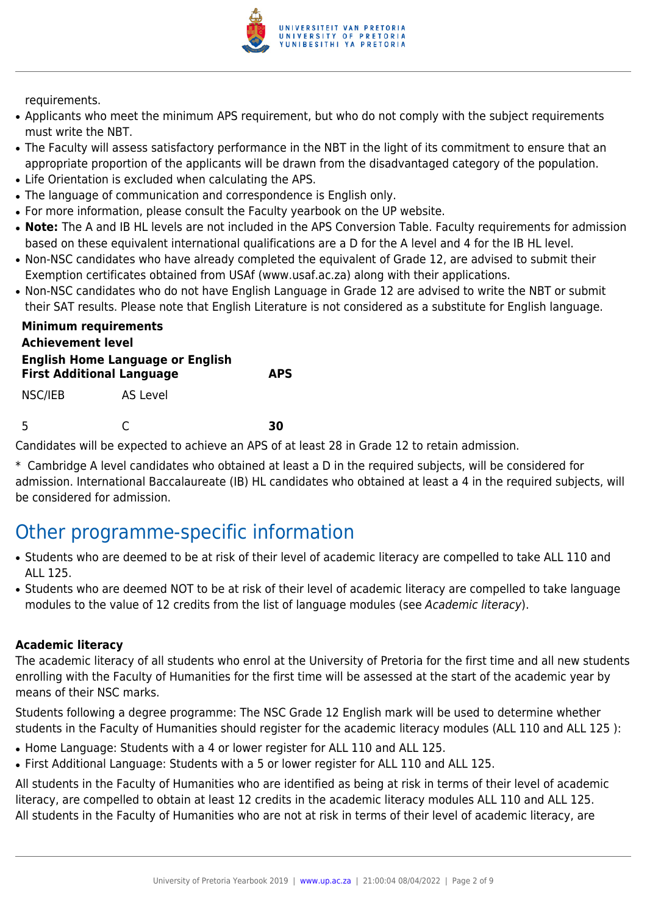

requirements.

- Applicants who meet the minimum APS requirement, but who do not comply with the subject requirements must write the NBT.
- The Faculty will assess satisfactory performance in the NBT in the light of its commitment to ensure that an appropriate proportion of the applicants will be drawn from the disadvantaged category of the population.
- Life Orientation is excluded when calculating the APS.
- The language of communication and correspondence is English only.
- For more information, please consult the Faculty yearbook on the UP website.
- Note: The A and IB HL levels are not included in the APS Conversion Table. Faculty requirements for admission based on these equivalent international qualifications are a D for the A level and 4 for the IB HL level.
- Non-NSC candidates who have already completed the equivalent of Grade 12, are advised to submit their Exemption certificates obtained from USAf (www.usaf.ac.za) along with their applications.
- Non-NSC candidates who do not have English Language in Grade 12 are advised to write the NBT or submit their SAT results. Please note that English Literature is not considered as a substitute for English language.

| <b>Minimum requirements</b>                                                 |          |            |
|-----------------------------------------------------------------------------|----------|------------|
| <b>Achievement level</b>                                                    |          |            |
| <b>English Home Language or English</b><br><b>First Additional Language</b> |          | <b>APS</b> |
| NSC/IEB                                                                     | AS Level |            |

5 C **30**

Candidates will be expected to achieve an APS of at least 28 in Grade 12 to retain admission.

\* Cambridge A level candidates who obtained at least a D in the required subjects, will be considered for admission. International Baccalaureate (IB) HL candidates who obtained at least a 4 in the required subjects, will be considered for admission.

# Other programme-specific information

- Students who are deemed to be at risk of their level of academic literacy are compelled to take ALL 110 and ALL 125.
- Students who are deemed NOT to be at risk of their level of academic literacy are compelled to take language modules to the value of 12 credits from the list of language modules (see Academic literacy).

#### **Academic literacy**

The academic literacy of all students who enrol at the University of Pretoria for the first time and all new students enrolling with the Faculty of Humanities for the first time will be assessed at the start of the academic year by means of their NSC marks.

Students following a degree programme: The NSC Grade 12 English mark will be used to determine whether students in the Faculty of Humanities should register for the academic literacy modules (ALL 110 and ALL 125 ):

- Home Language: Students with a 4 or lower register for ALL 110 and ALL 125.
- First Additional Language: Students with a 5 or lower register for ALL 110 and ALL 125.

All students in the Faculty of Humanities who are identified as being at risk in terms of their level of academic literacy, are compelled to obtain at least 12 credits in the academic literacy modules ALL 110 and ALL 125. All students in the Faculty of Humanities who are not at risk in terms of their level of academic literacy, are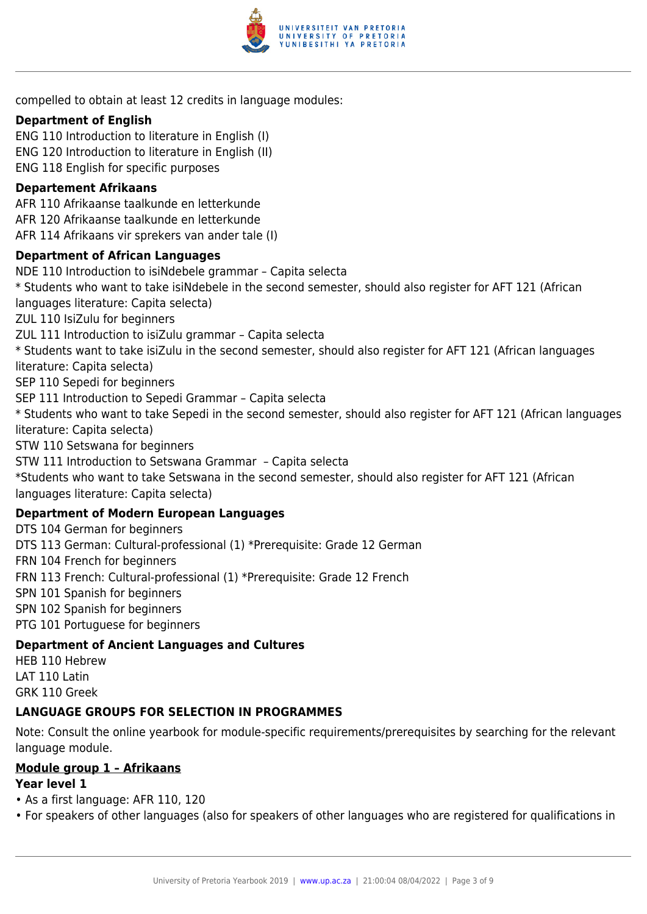

compelled to obtain at least 12 credits in language modules:

#### **Department of English**

ENG 110 Introduction to literature in English (I) ENG 120 Introduction to literature in English (II) ENG 118 English for specific purposes

#### **Departement Afrikaans**

AFR 110 Afrikaanse taalkunde en letterkunde AFR 120 Afrikaanse taalkunde en letterkunde AFR 114 Afrikaans vir sprekers van ander tale (I)

#### **Department of African Languages**

NDE 110 Introduction to isiNdebele grammar – Capita selecta \* Students who want to take isiNdebele in the second semester, should also register for AFT 121 (African languages literature: Capita selecta) ZUL 110 IsiZulu for beginners ZUL 111 Introduction to isiZulu grammar – Capita selecta \* Students want to take isiZulu in the second semester, should also register for AFT 121 (African languages literature: Capita selecta) SEP 110 Sepedi for beginners SEP 111 Introduction to Sepedi Grammar – Capita selecta \* Students who want to take Sepedi in the second semester, should also register for AFT 121 (African languages literature: Capita selecta) STW 110 Setswana for beginners STW 111 Introduction to Setswana Grammar – Capita selecta \*Students who want to take Setswana in the second semester, should also register for AFT 121 (African languages literature: Capita selecta) **Department of Modern European Languages** DTS 104 German for beginners DTS 113 German: Cultural-professional (1) \*Prerequisite: Grade 12 German FRN 104 French for beginners FRN 113 French: Cultural-professional (1) \*Prerequisite: Grade 12 French

SPN 101 Spanish for beginners

SPN 102 Spanish for beginners

PTG 101 Portuguese for beginners

### **Department of Ancient Languages and Cultures**

HEB 110 Hebrew LAT 110 Latin GRK 110 Greek

### **LANGUAGE GROUPS FOR SELECTION IN PROGRAMMES**

Note: Consult the online yearbook for module-specific requirements/prerequisites by searching for the relevant language module.

### **Module group 1 – Afrikaans**

### **Year level 1**

- As a first language: AFR 110, 120
- For speakers of other languages (also for speakers of other languages who are registered for qualifications in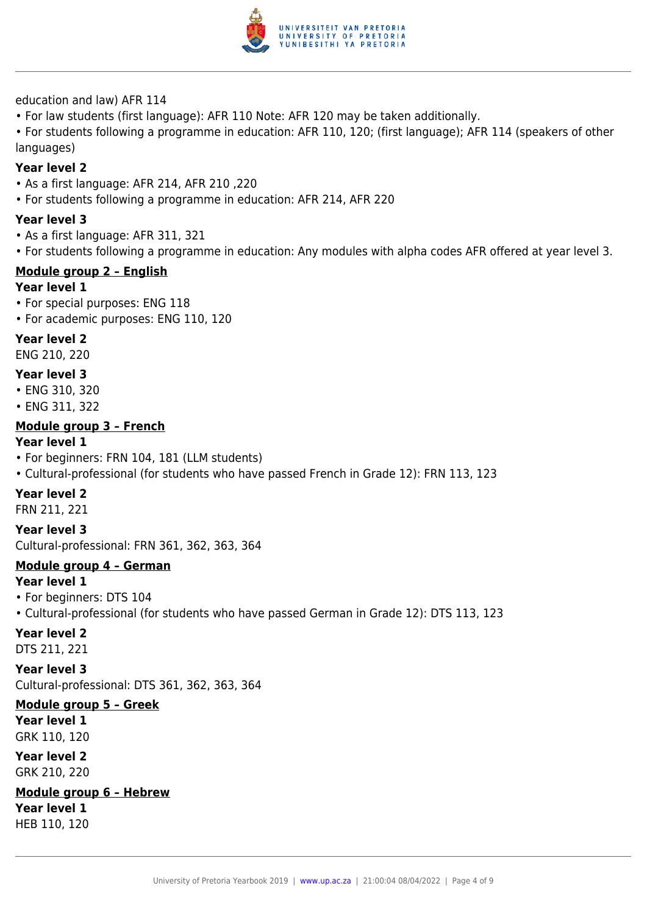

education and law) AFR 114

• For law students (first language): AFR 110 Note: AFR 120 may be taken additionally.

• For students following a programme in education: AFR 110, 120; (first language); AFR 114 (speakers of other languages)

#### **Year level 2**

- As a first language: AFR 214, AFR 210 ,220
- For students following a programme in education: AFR 214, AFR 220

#### **Year level 3**

- As a first language: AFR 311, 321
- For students following a programme in education: Any modules with alpha codes AFR offered at year level 3.

#### **Module group 2 – English**

#### **Year level 1**

- For special purposes: ENG 118
- For academic purposes: ENG 110, 120

#### **Year level 2**

ENG 210, 220

#### **Year level 3**

- ENG 310, 320
- ENG 311, 322

#### **Module group 3 – French**

#### **Year level 1**

- For beginners: FRN 104, 181 (LLM students)
- Cultural-professional (for students who have passed French in Grade 12): FRN 113, 123

#### **Year level 2**

FRN 211, 221

#### **Year level 3**

Cultural-professional: FRN 361, 362, 363, 364

#### **Module group 4 – German**

#### **Year level 1**

- For beginners: DTS 104
- Cultural-professional (for students who have passed German in Grade 12): DTS 113, 123

#### **Year level 2**

DTS 211, 221

#### **Year level 3**

Cultural-professional: DTS 361, 362, 363, 364

#### **Module group 5 – Greek Year level 1**

GRK 110, 120

#### **Year level 2** GRK 210, 220

# **Module group 6 – Hebrew**

**Year level 1** HEB 110, 120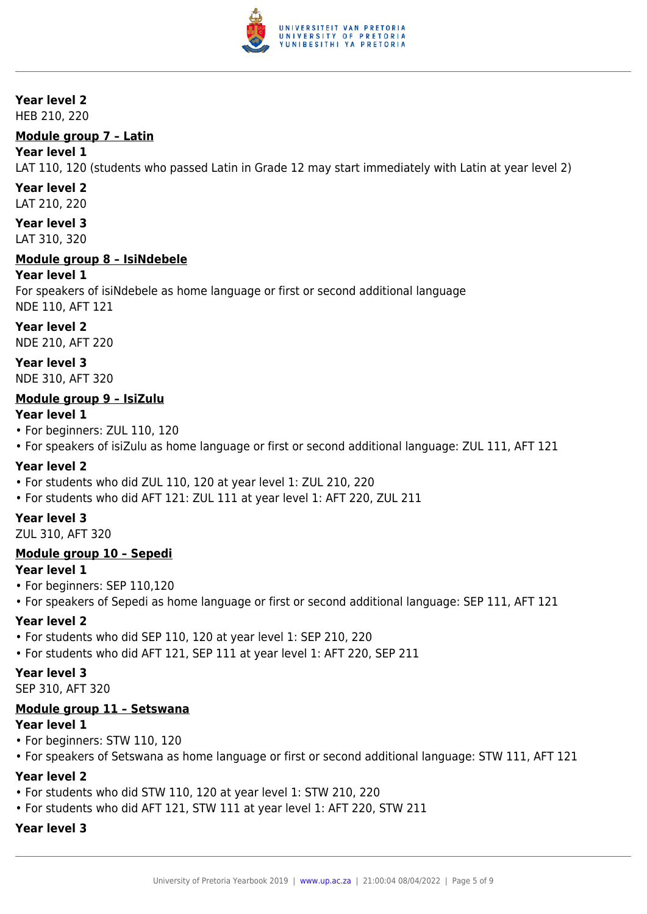

#### **Year level 2**

HEB 210, 220

#### **Module group 7 – Latin**

#### **Year level 1**

LAT 110, 120 (students who passed Latin in Grade 12 may start immediately with Latin at year level 2)

# **Year level 2**

LAT 210, 220

**Year level 3** LAT 310, 320

#### **Module group 8 – IsiNdebele**

#### **Year level 1**

For speakers of isiNdebele as home language or first or second additional language NDE 110, AFT 121

**Year level 2** NDE 210, AFT 220

**Year level 3** NDE 310, AFT 320

#### **Module group 9 – IsiZulu**

#### **Year level 1**

- For beginners: ZUL 110, 120
- For speakers of isiZulu as home language or first or second additional language: ZUL 111, AFT 121

#### **Year level 2**

- For students who did ZUL 110, 120 at year level 1: ZUL 210, 220
- For students who did AFT 121: ZUL 111 at year level 1: AFT 220, ZUL 211

#### **Year level 3**

ZUL 310, AFT 320

#### **Module group 10 – Sepedi**

#### **Year level 1**

- For beginners: SEP 110,120
- For speakers of Sepedi as home language or first or second additional language: SEP 111, AFT 121

#### **Year level 2**

- For students who did SEP 110, 120 at year level 1: SEP 210, 220
- For students who did AFT 121, SEP 111 at year level 1: AFT 220, SEP 211

#### **Year level 3**

SEP 310, AFT 320

#### **Module group 11 – Setswana**

#### **Year level 1**

- For beginners: STW 110, 120
- For speakers of Setswana as home language or first or second additional language: STW 111, AFT 121

#### **Year level 2**

- For students who did STW 110, 120 at year level 1: STW 210, 220
- For students who did AFT 121, STW 111 at year level 1: AFT 220, STW 211

### **Year level 3**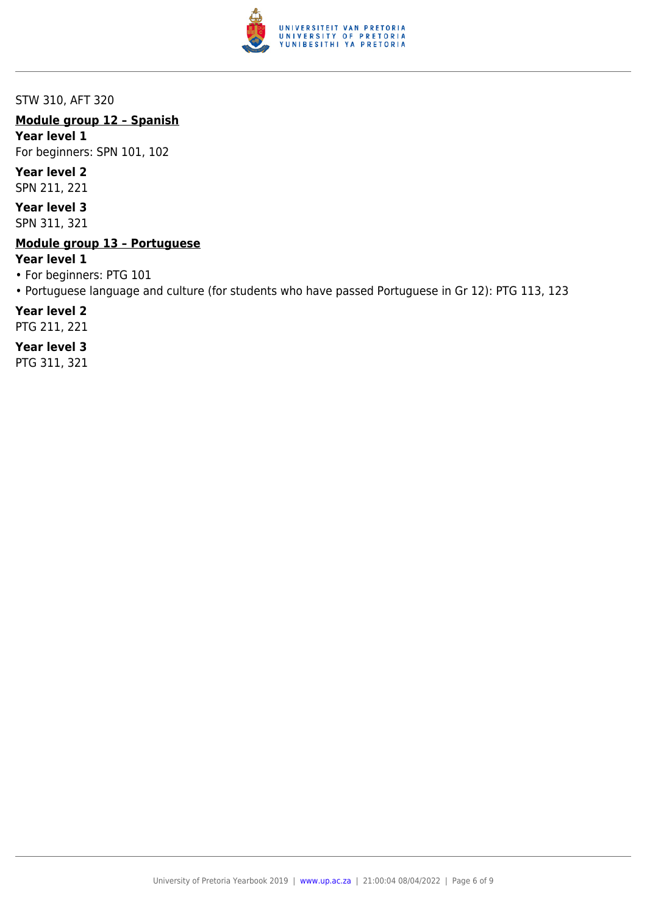

STW 310, AFT 320

#### **Module group 12 – Spanish**

**Year level 1**

For beginners: SPN 101, 102

#### **Year level 2**

SPN 211, 221

**Year level 3**

SPN 311, 321

#### **Module group 13 – Portuguese**

#### **Year level 1**

- For beginners: PTG 101
- Portuguese language and culture (for students who have passed Portuguese in Gr 12): PTG 113, 123

#### **Year level 2**

PTG 211, 221

#### **Year level 3**

PTG 311, 321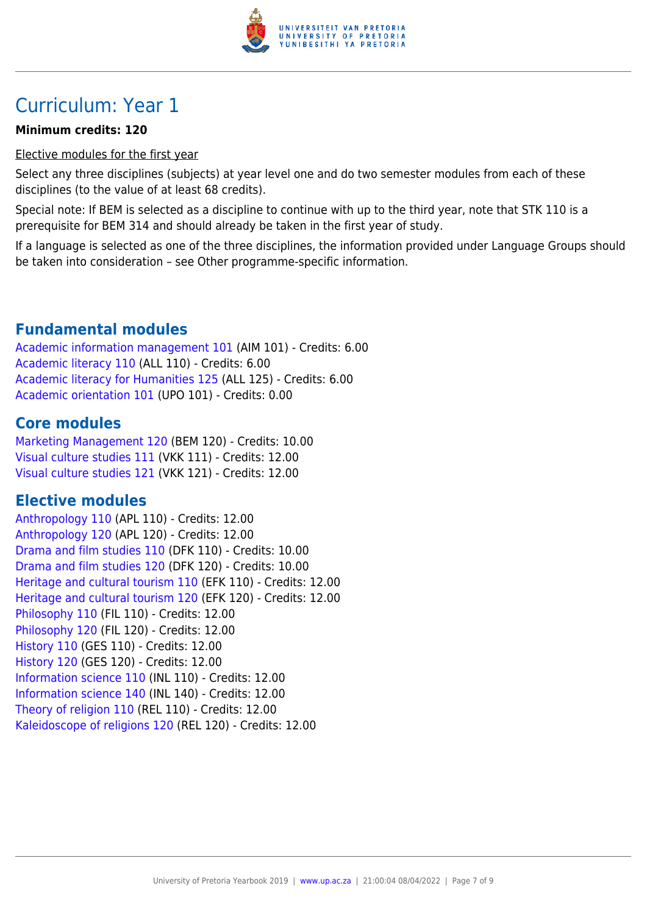

# Curriculum: Year 1

#### **Minimum credits: 120**

Elective modules for the first year

Select any three disciplines (subjects) at year level one and do two semester modules from each of these disciplines (to the value of at least 68 credits).

Special note: If BEM is selected as a discipline to continue with up to the third year, note that STK 110 is a prerequisite for BEM 314 and should already be taken in the first year of study.

If a language is selected as one of the three disciplines, the information provided under Language Groups should be taken into consideration – see Other programme-specific information.

# **Fundamental modules**

[Academic information management 101](https://www.up.ac.za/faculty-of-education/yearbooks/2019/modules/view/AIM 101) (AIM 101) - Credits: 6.00 [Academic literacy 110](https://www.up.ac.za/faculty-of-education/yearbooks/2019/modules/view/ALL 110) (ALL 110) - Credits: 6.00 [Academic literacy for Humanities 125](https://www.up.ac.za/faculty-of-education/yearbooks/2019/modules/view/ALL 125) (ALL 125) - Credits: 6.00 [Academic orientation 101](https://www.up.ac.za/faculty-of-education/yearbooks/2019/modules/view/UPO 101) (UPO 101) - Credits: 0.00

# **Core modules**

[Marketing Management 120](https://www.up.ac.za/faculty-of-education/yearbooks/2019/modules/view/BEM 120) (BEM 120) - Credits: 10.00 [Visual culture studies 111](https://www.up.ac.za/faculty-of-education/yearbooks/2019/modules/view/VKK 111) (VKK 111) - Credits: 12.00 [Visual culture studies 121](https://www.up.ac.za/faculty-of-education/yearbooks/2019/modules/view/VKK 121) (VKK 121) - Credits: 12.00

# **Elective modules**

[Anthropology 110](https://www.up.ac.za/faculty-of-education/yearbooks/2019/modules/view/APL 110) (APL 110) - Credits: 12.00 [Anthropology 120](https://www.up.ac.za/faculty-of-education/yearbooks/2019/modules/view/APL 120) (APL 120) - Credits: 12.00 [Drama and film studies 110](https://www.up.ac.za/faculty-of-education/yearbooks/2019/modules/view/DFK 110) (DFK 110) - Credits: 10.00 [Drama and film studies 120](https://www.up.ac.za/faculty-of-education/yearbooks/2019/modules/view/DFK 120) (DFK 120) - Credits: 10.00 [Heritage and cultural tourism 110](https://www.up.ac.za/faculty-of-education/yearbooks/2019/modules/view/EFK 110) (EFK 110) - Credits: 12.00 [Heritage and cultural tourism 120](https://www.up.ac.za/faculty-of-education/yearbooks/2019/modules/view/EFK 120) (EFK 120) - Credits: 12.00 [Philosophy 110](https://www.up.ac.za/faculty-of-education/yearbooks/2019/modules/view/FIL 110) (FIL 110) - Credits: 12.00 [Philosophy 120](https://www.up.ac.za/faculty-of-education/yearbooks/2019/modules/view/FIL 120) (FIL 120) - Credits: 12.00 [History 110](https://www.up.ac.za/faculty-of-education/yearbooks/2019/modules/view/GES 110) (GES 110) - Credits: 12.00 [History 120](https://www.up.ac.za/faculty-of-education/yearbooks/2019/modules/view/GES 120) (GES 120) - Credits: 12.00 [Information science 110](https://www.up.ac.za/faculty-of-education/yearbooks/2019/modules/view/INL 110) (INL 110) - Credits: 12.00 [Information science 140](https://www.up.ac.za/faculty-of-education/yearbooks/2019/modules/view/INL 140) (INL 140) - Credits: 12.00 [Theory of religion 110](https://www.up.ac.za/faculty-of-education/yearbooks/2019/modules/view/REL 110) (REL 110) - Credits: 12.00 [Kaleidoscope of religions 120](https://www.up.ac.za/faculty-of-education/yearbooks/2019/modules/view/REL 120) (REL 120) - Credits: 12.00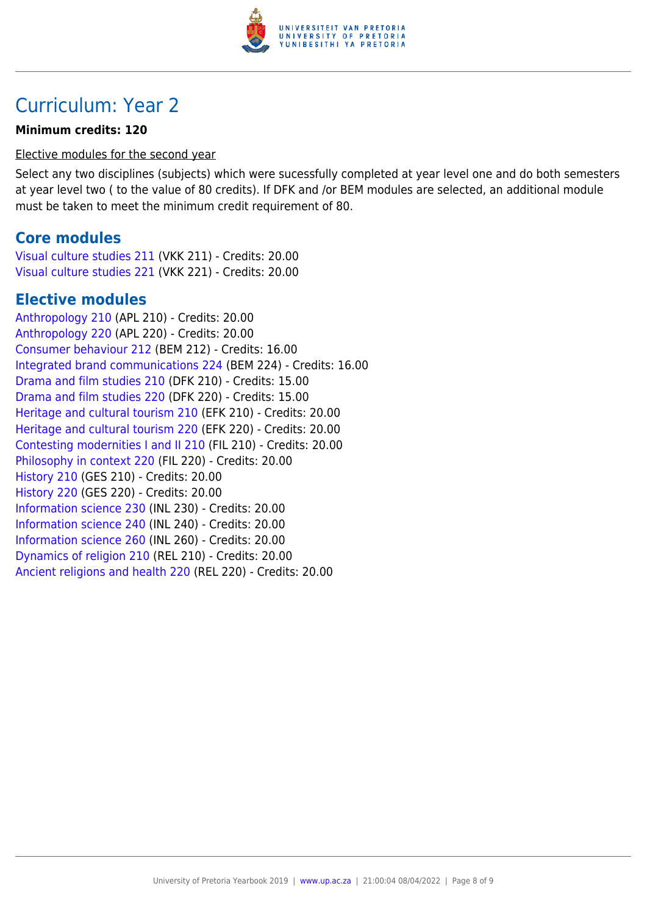

# Curriculum: Year 2

#### **Minimum credits: 120**

#### Elective modules for the second year

Select any two disciplines (subjects) which were sucessfully completed at year level one and do both semesters at year level two ( to the value of 80 credits). If DFK and /or BEM modules are selected, an additional module must be taken to meet the minimum credit requirement of 80.

## **Core modules**

[Visual culture studies 211](https://www.up.ac.za/faculty-of-education/yearbooks/2019/modules/view/VKK 211) (VKK 211) - Credits: 20.00 [Visual culture studies 221](https://www.up.ac.za/faculty-of-education/yearbooks/2019/modules/view/VKK 221) (VKK 221) - Credits: 20.00

# **Elective modules**

[Anthropology 210](https://www.up.ac.za/faculty-of-education/yearbooks/2019/modules/view/APL 210) (APL 210) - Credits: 20.00 [Anthropology 220](https://www.up.ac.za/faculty-of-education/yearbooks/2019/modules/view/APL 220) (APL 220) - Credits: 20.00 [Consumer behaviour 212](https://www.up.ac.za/faculty-of-education/yearbooks/2019/modules/view/BEM 212) (BEM 212) - Credits: 16.00 [Integrated brand communications 224](https://www.up.ac.za/faculty-of-education/yearbooks/2019/modules/view/BEM 224) (BEM 224) - Credits: 16.00 [Drama and film studies 210](https://www.up.ac.za/faculty-of-education/yearbooks/2019/modules/view/DFK 210) (DFK 210) - Credits: 15.00 [Drama and film studies 220](https://www.up.ac.za/faculty-of-education/yearbooks/2019/modules/view/DFK 220) (DFK 220) - Credits: 15.00 [Heritage and cultural tourism 210](https://www.up.ac.za/faculty-of-education/yearbooks/2019/modules/view/EFK 210) (EFK 210) - Credits: 20.00 [Heritage and cultural tourism 220](https://www.up.ac.za/faculty-of-education/yearbooks/2019/modules/view/EFK 220) (EFK 220) - Credits: 20.00 [Contesting modernities I and II 210](https://www.up.ac.za/faculty-of-education/yearbooks/2019/modules/view/FIL 210) (FIL 210) - Credits: 20.00 [Philosophy in context 220](https://www.up.ac.za/faculty-of-education/yearbooks/2019/modules/view/FIL 220) (FIL 220) - Credits: 20.00 [History 210](https://www.up.ac.za/faculty-of-education/yearbooks/2019/modules/view/GES 210) (GES 210) - Credits: 20.00 [History 220](https://www.up.ac.za/faculty-of-education/yearbooks/2019/modules/view/GES 220) (GES 220) - Credits: 20.00 [Information science 230](https://www.up.ac.za/faculty-of-education/yearbooks/2019/modules/view/INL 230) (INL 230) - Credits: 20.00 [Information science 240](https://www.up.ac.za/faculty-of-education/yearbooks/2019/modules/view/INL 240) (INL 240) - Credits: 20.00 [Information science 260](https://www.up.ac.za/faculty-of-education/yearbooks/2019/modules/view/INL 260) (INL 260) - Credits: 20.00 [Dynamics of religion 210](https://www.up.ac.za/faculty-of-education/yearbooks/2019/modules/view/REL 210) (REL 210) - Credits: 20.00 [Ancient religions and health 220](https://www.up.ac.za/faculty-of-education/yearbooks/2019/modules/view/REL 220) (REL 220) - Credits: 20.00